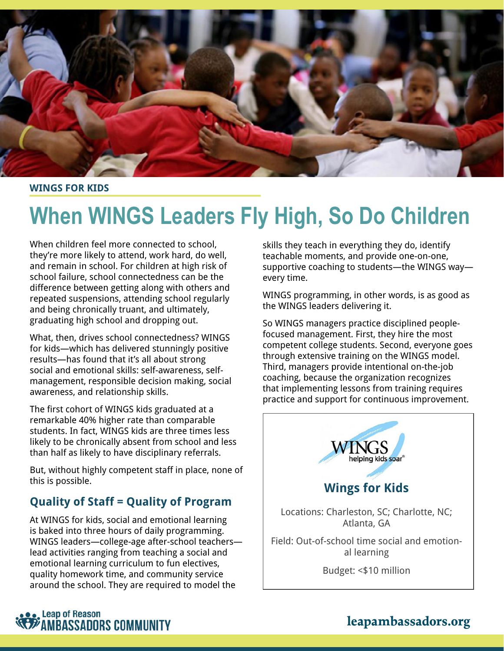

**WINGS FOR KIDS**

# **When WINGS Leaders Fly High, So Do Children**

When children feel more connected to school, they're more likely to attend, work hard, do well, and remain in school. For children at high risk of school failure, school connectedness can be the difference between getting along with others and repeated suspensions, attending school regularly and being chronically truant, and ultimately, graduating high school and dropping out.

What, then, drives school connectedness? WINGS for kids—which has delivered stunningly positive results—has found that it's all about strong social and emotional skills: self-awareness, selfmanagement, responsible decision making, social awareness, and relationship skills.

The first cohort of WINGS kids graduated at a remarkable 40% higher rate than comparable students. In fact, WINGS kids are three times less likely to be chronically absent from school and less than half as likely to have disciplinary referrals.

But, without highly competent staff in place, none of this is possible.

#### **Quality of Staff = Quality of Program**

At WINGS for kids, social and emotional learning is baked into three hours of daily programming. WINGS leaders—college-age after-school teachers lead activities ranging from teaching a social and emotional learning curriculum to fun electives, quality homework time, and community service around the school. They are required to model the

skills they teach in everything they do, identify teachable moments, and provide one-on-one, supportive coaching to students—the WINGS way every time.

WINGS programming, in other words, is as good as the WINGS leaders delivering it.

So WINGS managers practice disciplined peoplefocused management. First, they hire the most competent college students. Second, everyone goes through extensive training on the WINGS model. Third, managers provide intentional on-the-job coaching, because the organization recognizes that implementing lessons from training requires practice and support for continuous improvement.





### **leapambassadors.org**